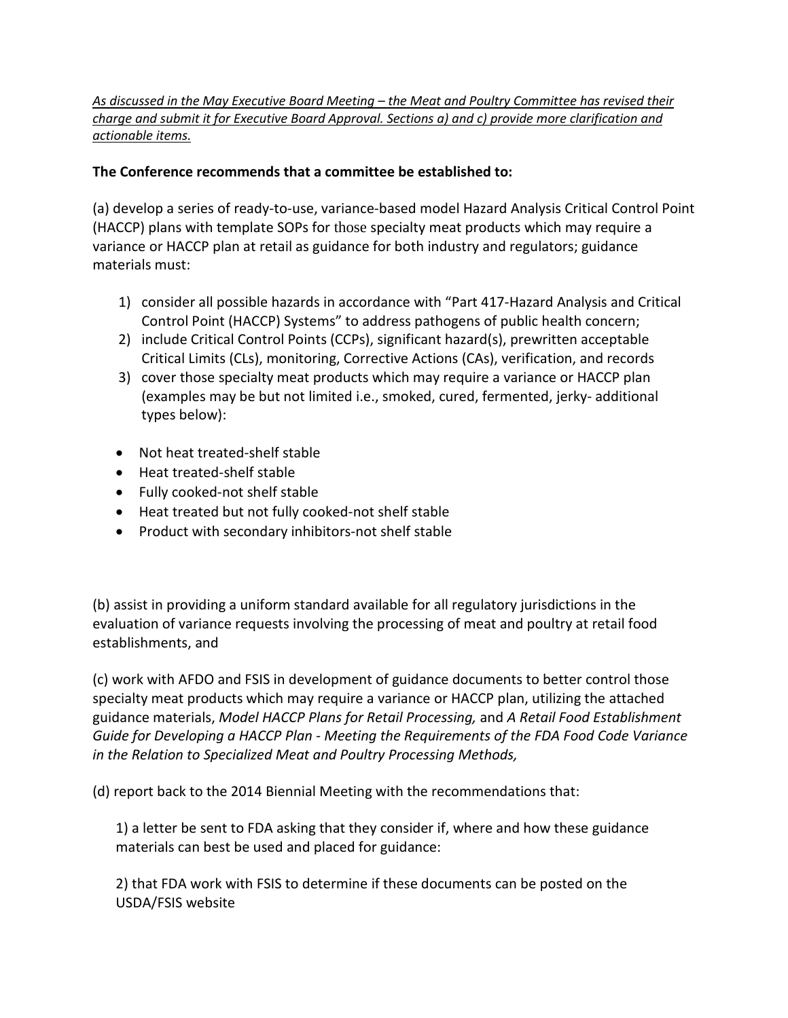## *As discussed in the May Executive Board Meeting – the Meat and Poultry Committee has revised their charge and submit it for Executive Board Approval. Sections a) and c) provide more clarification and actionable items.*

## **The Conference recommends that a committee be established to:**

(a) develop a series of ready-to-use, variance-based model Hazard Analysis Critical Control Point (HACCP) plans with template SOPs for those specialty meat products which may require a variance or HACCP plan at retail as guidance for both industry and regulators; guidance materials must:

- 1) consider all possible hazards in accordance with "Part 417-Hazard Analysis and Critical Control Point (HACCP) Systems" to address pathogens of public health concern;
- 2) include Critical Control Points (CCPs), significant hazard(s), prewritten acceptable Critical Limits (CLs), monitoring, Corrective Actions (CAs), verification, and records
- 3) cover those specialty meat products which may require a variance or HACCP plan (examples may be but not limited i.e., smoked, cured, fermented, jerky- additional types below):
- Not heat treated-shelf stable
- Heat treated-shelf stable
- Fully cooked-not shelf stable
- Heat treated but not fully cooked-not shelf stable
- Product with secondary inhibitors-not shelf stable

(b) assist in providing a uniform standard available for all regulatory jurisdictions in the evaluation of variance requests involving the processing of meat and poultry at retail food establishments, and

(c) work with AFDO and FSIS in development of guidance documents to better control those specialty meat products which may require a variance or HACCP plan, utilizing the attached guidance materials, *Model HACCP Plans for Retail Processing,* and *A Retail Food Establishment Guide for Developing a HACCP Plan - Meeting the Requirements of the FDA Food Code Variance in the Relation to Specialized Meat and Poultry Processing Methods,* 

(d) report back to the 2014 Biennial Meeting with the recommendations that:

1) a letter be sent to FDA asking that they consider if, where and how these guidance materials can best be used and placed for guidance:

2) that FDA work with FSIS to determine if these documents can be posted on the USDA/FSIS website